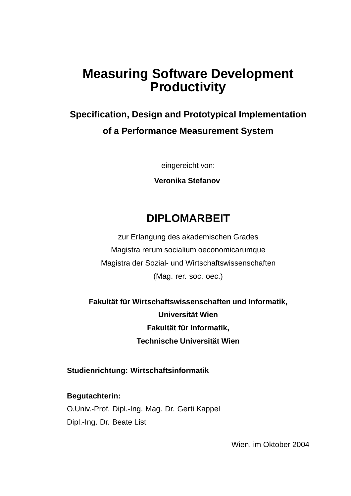## **Measuring Software Development Productivity**

## **Specification, Design and Prototypical Implementation of a Performance Measurement System**

eingereicht von:

**Veronika Stefanov**

### **DIPLOMARBEIT**

zur Erlangung des akademischen Grades Magistra rerum socialium oeconomicarumque Magistra der Sozial- und Wirtschaftswissenschaften (Mag. rer. soc. oec.)

**Fakultät für Wirtschaftswissenschaften und Informatik, Universität Wien Fakultät für Informatik, Technische Universität Wien**

**Studienrichtung: Wirtschaftsinformatik**

**Begutachterin:** O.Univ.-Prof. Dipl.-Ing. Mag. Dr. Gerti Kappel Dipl.-Ing. Dr. Beate List

Wien, im Oktober 2004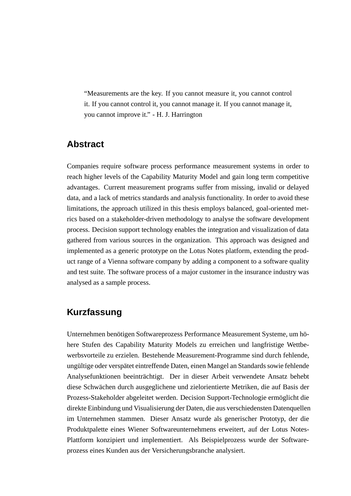"Measurements are the key. If you cannot measure it, you cannot control it. If you cannot control it, you cannot manage it. If you cannot manage it, you cannot improve it." - H. J. Harrington

#### **Abstract**

Companies require software process performance measurement systems in order to reach higher levels of the Capability Maturity Model and gain long term competitive advantages. Current measurement programs suffer from missing, invalid or delayed data, and a lack of metrics standards and analysis functionality. In order to avoid these limitations, the approach utilized in this thesis employs balanced, goal-oriented metrics based on a stakeholder-driven methodology to analyse the software development process. Decision support technology enables the integration and visualization of data gathered from various sources in the organization. This approach was designed and implemented as a generic prototype on the Lotus Notes platform, extending the product range of a Vienna software company by adding a component to a software quality and test suite. The software process of a major customer in the insurance industry was analysed as a sample process.

#### **Kurzfassung**

Unternehmen benötigen Softwareprozess Performance Measurement Systeme, um höhere Stufen des Capability Maturity Models zu erreichen und langfristige Wettbewerbsvorteile zu erzielen. Bestehende Measurement-Programme sind durch fehlende, ungültige oder verspätet eintreffende Daten, einen Mangel an Standards sowie fehlende Analysefunktionen beeinträchtigt. Der in dieser Arbeit verwendete Ansatz behebt diese Schwächen durch ausgeglichene und zielorientierte Metriken, die auf Basis der Prozess-Stakeholder abgeleitet werden. Decision Support-Technologie ermöglicht die direkte Einbindung und Visualisierung der Daten, die aus verschiedensten Datenquellen im Unternehmen stammen. Dieser Ansatz wurde als generischer Prototyp, der die Produktpalette eines Wiener Softwareunternehmens erweitert, auf der Lotus Notes-Plattform konzipiert und implementiert. Als Beispielprozess wurde der Softwareprozess eines Kunden aus der Versicherungsbranche analysiert.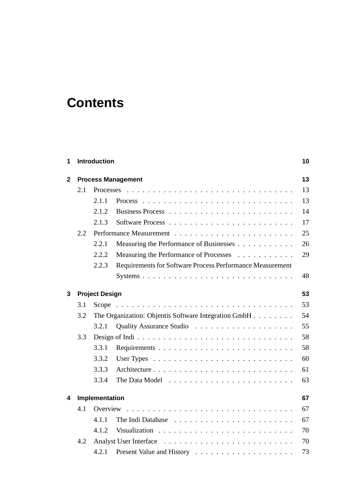# **Contents**

| 1   | <b>Introduction</b><br><b>Process Management</b><br>$\mathbf{2}$ |                             |                                                           |    |  |  |
|-----|------------------------------------------------------------------|-----------------------------|-----------------------------------------------------------|----|--|--|
|     |                                                                  |                             |                                                           |    |  |  |
|     | 2.1                                                              | <b>Processes</b>            |                                                           |    |  |  |
|     |                                                                  | 2.1.1                       |                                                           | 13 |  |  |
|     |                                                                  | 2.1.2                       |                                                           | 14 |  |  |
|     |                                                                  | 2.1.3                       |                                                           | 17 |  |  |
| 2.2 |                                                                  |                             |                                                           | 25 |  |  |
|     |                                                                  | 2.2.1                       | Measuring the Performance of Businesses                   | 26 |  |  |
|     |                                                                  | 2.2.2                       | Measuring the Performance of Processes                    | 29 |  |  |
|     |                                                                  | 2.2.3                       | Requirements for Software Process Performance Measurement |    |  |  |
|     |                                                                  |                             |                                                           | 48 |  |  |
| 3   |                                                                  | 53<br><b>Project Design</b> |                                                           |    |  |  |
|     | 3.1                                                              |                             |                                                           | 53 |  |  |
|     | 3.2                                                              |                             | The Organization: Objentis Software Integration GmbH      | 54 |  |  |
|     |                                                                  | 3.2.1                       |                                                           | 55 |  |  |
|     | 3.3                                                              |                             |                                                           | 58 |  |  |
|     |                                                                  | 3.3.1                       |                                                           | 58 |  |  |
|     |                                                                  | 3.3.2                       |                                                           | 60 |  |  |
|     |                                                                  | 3.3.3                       |                                                           | 61 |  |  |
|     |                                                                  | 3.3.4                       |                                                           | 63 |  |  |
| 4   | Implementation<br>67                                             |                             |                                                           |    |  |  |
|     | 4.1                                                              |                             |                                                           | 67 |  |  |
|     |                                                                  | 4.1.1                       |                                                           | 67 |  |  |
|     |                                                                  | 4.1.2                       |                                                           | 70 |  |  |
|     | 4.2                                                              |                             | 70                                                        |    |  |  |
|     |                                                                  | 4.2.1                       |                                                           | 73 |  |  |